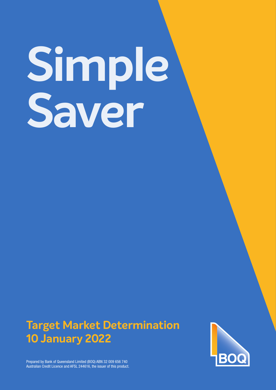# **Simple Saver**

# **Target Market Determination 10 January 2022**



Prepared by Bank of Queensland Limited (BOQ) ABN 32 009 656 740 Australian Credit Licence and AFSL 244616, the issuer of this product.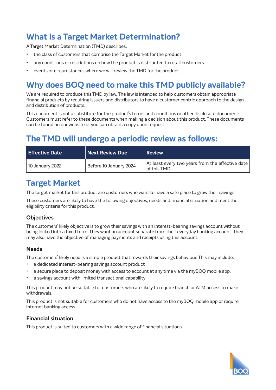# **What is a Target Market Determination?**

A Target Market Determination (TMD) describes:

- the class of customers that comprise the Target Market for the product
- any conditions or restrictions on how the product is distributed to retail customers
- events or circumstances where we will review the TMD for the product.

# **Why does BOQ need to make this TMD publicly available?**

We are required to produce this TMD by law. The law is intended to help customers obtain appropriate financial products by requiring issuers and distributors to have a customer centric approach to the design and distribution of products.

This document is not a substitute for the product's terms and conditions or other disclosure documents. Customers must refer to these documents when making a decision about this product. These documents can be found on our website or you can obtain a copy upon request.

## **The TMD will undergo a periodic review as follows:**

| <b>Effective Date</b> | Next Review Due        | <b>Review</b>                                                   |
|-----------------------|------------------------|-----------------------------------------------------------------|
| 10 January 2022       | Before 10 January 2024 | At least every two years from the effective date<br>of this TMD |

# **Target Market**

The target market for this product are customers who want to have a safe place to grow their savings.

These customers are likely to have the following objectives, needs and financial situation and meet the eligibility criteria for this product.

### **Objectives**

The customers' likely objective is to grow their savings with an interest-bearing savings account without being locked into a fixed term. They want an account separate from their everyday banking account. They may also have the objective of managing payments and receipts using this account.

### **Needs**

The customers' likely need is a simple product that rewards their savings behaviour. This may include:

- a dedicated interest-bearing savings account product
- a secure place to deposit money with access to account at any time via the myBOQ mobile app.
- a savings account with limited transactional capability

This product may not be suitable for customers who are likely to require branch or ATM access to make withdrawals.

This product is not suitable for customers who do not have access to the myBOQ mobile app or require internet banking access.

### **Financial situation**

This product is suited to customers with a wide range of financial situations.

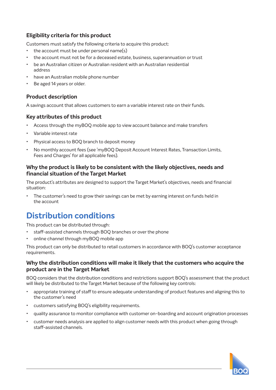### **Eligibility criteria for this product**

Customers must satisfy the following criteria to acquire this product:

- the account must be under personal name(s)
- the account must not be for a deceased estate, business, superannuation or trust
- be an Australian citizen or Australian resident with an Australian residential address
- have an Australian mobile phone number
- Be aged 14 years or older.

### **Product description**

A savings account that allows customers to earn a variable interest rate on their funds.

### **Key attributes of this product**

- Access through the myBOQ mobile app to view account balance and make transfers
- Variable interest rate
- Physical access to BOQ branch to deposit money
- No monthly account fees (see 'myBOQ Deposit Account Interest Rates, Transaction Limits, Fees and Charges' for all applicable fees).

### **Why the product is likely to be consistent with the likely objectives, needs and financial situation of the Target Market**

The product's attributes are designed to support the Target Market's objectives, needs and financial situation:

• The customer's need to grow their savings can be met by earning interest on funds held in the account

# **Distribution conditions**

This product can be distributed through:

- staff-assisted channels through BOQ branches or over the phone
- online channel through myBOQ mobile app

This product can only be distributed to retail customers in accordance with BOQ's customer acceptance requirements.

### **Why the distribution conditions will make it likely that the customers who acquire the product are in the Target Market**

BOQ considers that the distribution conditions and restrictions support BOQ's assessment that the product will likely be distributed to the Target Market because of the following key controls:

- appropriate training of staff to ensure adequate understanding of product features and aligning this to the customer's need
- customers satisfying BOQ's eligibility requirements.
- quality assurance to monitor compliance with customer on-boarding and account origination processes
- customer needs analysis are applied to align customer needs with this product when going through staff-assisted channels.